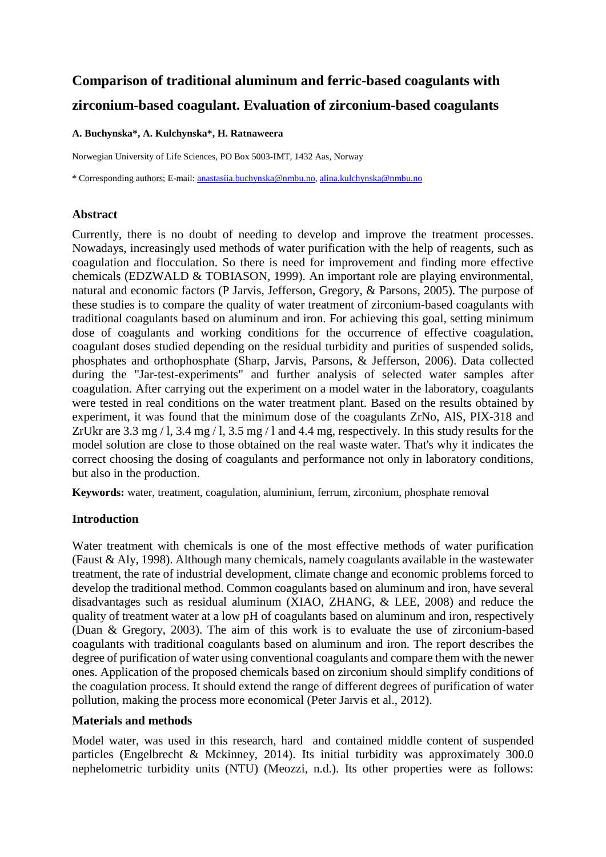# **Comparison of traditional aluminum and ferric-based coagulants with zirconium-based coagulant. Evaluation of zirconium-based coagulants**

#### **A. Buchynska\*, A. Kulchynska\*, H. Ratnaweera**

Norwegian University of Life Sciences, PO Box 5003-IMT, 1432 Aas, Norway

\* Corresponding authors; E-mail: [anastasiia.buchynska@nmbu.no,](mailto:anastasiia.buchynska@nmbu.no) [alina.kulchynska@nmbu.no](mailto:alina.kulchynska@nmbu.no)

## **Abstract**

Currently, there is no doubt of needing to develop and improve the treatment processes. Nowadays, increasingly used methods of water purification with the help of reagents, such as coagulation and flocculation. So there is need for improvement and finding more effective chemicals (EDZWALD & TOBIASON, 1999). An important role are playing environmental, natural and economic factors (P Jarvis, Jefferson, Gregory, & Parsons, 2005). The purpose of these studies is to compare the quality of water treatment of zirconium-based coagulants with traditional coagulants based on aluminum and iron. For achieving this goal, setting minimum dose of coagulants and working conditions for the occurrence of effective coagulation, coagulant doses studied depending on the residual turbidity and purities of suspended solids, phosphates and orthophosphate (Sharp, Jarvis, Parsons, & Jefferson, 2006). Data collected during the "Jar-test-experiments" and further analysis of selected water samples after coagulation. After carrying out the experiment on a model water in the laboratory, coagulants were tested in real conditions on the water treatment plant. Based on the results obtained by experiment, it was found that the minimum dose of the coagulants ZrNo, AlS, PIX-318 and ZrUkr are  $3.3 \text{ mg}/1$ ,  $3.4 \text{ mg}/1$ ,  $3.5 \text{ mg}/1$  and  $4.4 \text{ mg}$ , respectively. In this study results for the model solution are close to those obtained on the real waste water. That's why it indicates the correct choosing the dosing of coagulants and performance not only in laboratory conditions, but also in the production.

**Keywords:** water, treatment, coagulation, aluminium, ferrum, zirconium, phosphate removal

## **Introduction**

Water treatment with chemicals is one of the most effective methods of water purification (Faust & Aly, 1998). Although many chemicals, namely coagulants available in the wastewater treatment, the rate of industrial development, climate change and economic problems forced to develop the traditional method. Common coagulants based on aluminum and iron, have several disadvantages such as residual aluminum (XIAO, ZHANG, & LEE, 2008) and reduce the quality of treatment water at a low pH of coagulants based on aluminum and iron, respectively (Duan & Gregory, 2003). The aim of this work is to evaluate the use of zirconium-based coagulants with traditional coagulants based on aluminum and iron. The report describes the degree of purification of water using conventional coagulants and compare them with the newer ones. Application of the proposed chemicals based on zirconium should simplify conditions of the coagulation process. It should extend the range of different degrees of purification of water pollution, making the process more economical (Peter Jarvis et al., 2012).

### **Materials and methods**

Model water, was used in this research, hard and contained middle content of suspended particles (Engelbrecht & Mckinney, 2014). Its initial turbidity was approximately 300.0 nephelometric turbidity units (NTU) (Meozzi, n.d.). Its other properties were as follows: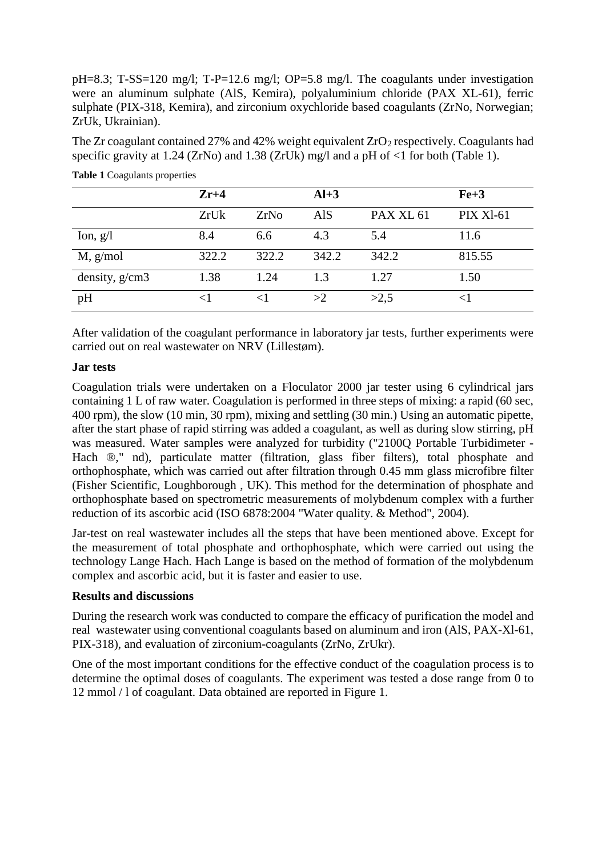pH=8.3; T-SS=120 mg/l; T-P=12.6 mg/l; OP=5.8 mg/l. The coagulants under investigation were an aluminum sulphate (AlS, Kemira), polyaluminium chloride (PAX XL-61), ferric sulphate (PIX-318, Kemira), and zirconium oxychloride based coagulants (ZrNo, Norwegian; ZrUk, Ukrainian).

The Zr coagulant contained 27% and 42% weight equivalent  $ZrO<sub>2</sub>$  respectively. Coagulants had specific gravity at 1.24 (ZrNo) and 1.38 (ZrUk) mg/l and a pH of  $\lt 1$  for both (Table 1).

|                | $Zr+4$ |       | $Al+3$ |                      | $Fe+3$           |
|----------------|--------|-------|--------|----------------------|------------------|
|                | ZrUk   | ZrNo  | AlS    | PAX XL <sub>61</sub> | <b>PIX XI-61</b> |
| Ion, $g/l$     | 8.4    | 6.6   | 4.3    | 5.4                  | 11.6             |
| M, g/mol       | 322.2  | 322.2 | 342.2  | 342.2                | 815.55           |
| density, g/cm3 | 1.38   | 1.24  | 1.3    | 1.27                 | 1.50             |
| pH             | <1     |       | >2     | >2.5                 |                  |

**Table 1** Coagulants properties

After validation of the coagulant performance in laboratory jar tests, further experiments were carried out on real wastewater on NRV (Lillestøm).

#### **Jar tests**

Coagulation trials were undertaken on a Floculator 2000 jar tester using 6 cylindrical jars containing 1 L of raw water. Coagulation is performed in three steps of mixing: a rapid (60 sec, 400 rpm), the slow (10 min, 30 rpm), mixing and settling (30 min.) Using an automatic pipette, after the start phase of rapid stirring was added a coagulant, as well as during slow stirring, pH was measured. Water samples were analyzed for turbidity ("2100Q Portable Turbidimeter - Hach ®," nd), particulate matter (filtration, glass fiber filters), total phosphate and orthophosphate, which was carried out after filtration through 0.45 mm glass microfibre filter (Fisher Scientific, Loughborough , UK). This method for the determination of phosphate and orthophosphate based on spectrometric measurements of molybdenum complex with a further reduction of its ascorbic acid (ISO 6878:2004 "Water quality. & Method", 2004).

Jar-test on real wastewater includes all the steps that have been mentioned above. Except for the measurement of total phosphate and orthophosphate, which were carried out using the technology Lange Hach. Hach Lange is based on the method of formation of the molybdenum complex and ascorbic acid, but it is faster and easier to use.

### **Results and discussions**

During the research work was conducted to compare the efficacy of purification the model and real wastewater using conventional coagulants based on aluminum and iron (AlS, PAX-Xl-61, PIX-318), and evaluation of zirconium-coagulants (ZrNo, ZrUkr).

One of the most important conditions for the effective conduct of the coagulation process is to determine the optimal doses of coagulants. The experiment was tested a dose range from 0 to 12 mmol / l of coagulant. Data obtained are reported in Figure 1.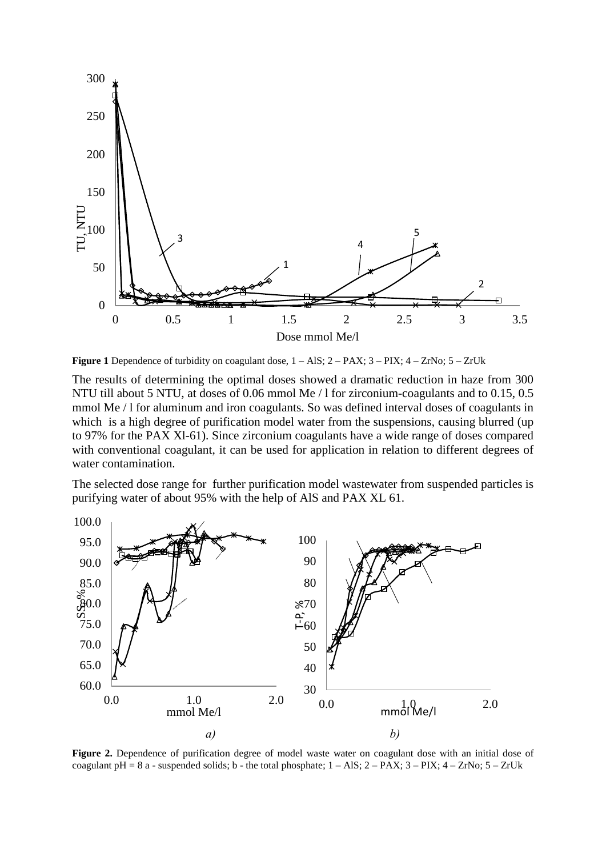

**Figure 1** Dependence of turbidity on coagulant dose,  $1 - \text{AIS}$ ;  $2 - \text{PAX}$ ;  $3 - \text{PIX}$ ;  $4 - \text{ZrNo}$ ;  $5 - \text{ZrUk}$ 

The results of determining the optimal doses showed a dramatic reduction in haze from 300 NTU till about 5 NTU, at doses of 0.06 mmol Me / l for zirconium-coagulants and to 0.15, 0.5 mmol Me / l for aluminum and iron coagulants. So was defined interval doses of coagulants in which is a high degree of purification model water from the suspensions, causing blurred (up to 97% for the PAX Xl-61). Since zirconium coagulants have a wide range of doses compared with conventional coagulant, it can be used for application in relation to different degrees of water contamination.

The selected dose range for further purification model wastewater from suspended particles is purifying water of about 95% with the help of AlS and PAX XL 61.



**Figure 2.** Dependence of purification degree of model waste water on coagulant dose with an initial dose of coagulant pH =  $8$  a - suspended solids; b - the total phosphate;  $1 - AIS$ ;  $2 - PAX$ ;  $3 - PIX$ ;  $4 - ZrNo$ ;  $5 - ZrUk$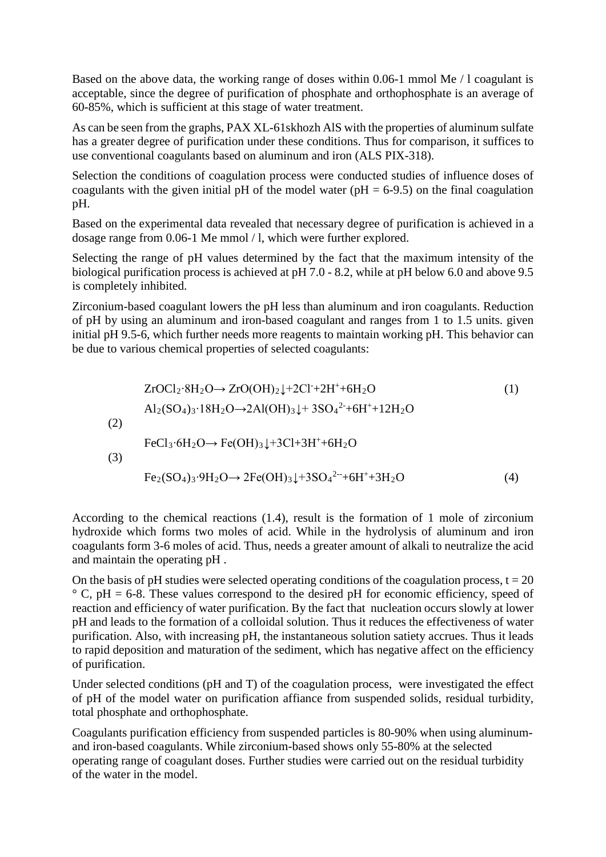Based on the above data, the working range of doses within 0.06-1 mmol Me / l coagulant is acceptable, since the degree of purification of phosphate and orthophosphate is an average of 60-85%, which is sufficient at this stage of water treatment.

As can be seen from the graphs, PAX XL-61skhozh AlS with the properties of aluminum sulfate has a greater degree of purification under these conditions. Thus for comparison, it suffices to use conventional coagulants based on aluminum and iron (ALS PIX-318).

Selection the conditions of coagulation process were conducted studies of influence doses of coagulants with the given initial pH of the model water ( $pH = 6-9.5$ ) on the final coagulation pH.

Based on the experimental data revealed that necessary degree of purification is achieved in a dosage range from 0.06-1 Me mmol / l, which were further explored.

Selecting the range of pH values determined by the fact that the maximum intensity of the biological purification process is achieved at pH 7.0 - 8.2, while at pH below 6.0 and above 9.5 is completely inhibited.

Zirconium-based coagulant lowers the pH less than aluminum and iron coagulants. Reduction of pH by using an aluminum and iron-based coagulant and ranges from 1 to 1.5 units. given initial pH 9.5-6, which further needs more reagents to maintain working pH. This behavior can be due to various chemical properties of selected coagulants:

$$
ZrOCl_2 \cdot 8H_2O \rightarrow ZrO(OH)_2 \downarrow + 2Cl^2 + 2H^2 + 6H_2O
$$
\n(1)  
\nAl<sub>2</sub>(SO<sub>4</sub>)<sub>3</sub>·18H<sub>2</sub>O → 2Al(OH)<sub>3</sub>↓ + 3SO<sub>4</sub><sup>2</sup> + 6H<sup>2</sup> + 12H<sub>2</sub>O  
\nFeCl<sub>3</sub>·6H<sub>2</sub>O → Fe(OH)<sub>3</sub>↓+3Cl+3H<sup>2</sup> + 6H<sup>2</sup> + 12H<sub>2</sub>O  
\n(3)  
\nFe<sub>2</sub>(SO<sub>4</sub>)<sub>3</sub>·9H<sub>2</sub>O → 2Fe(OH)<sub>3</sub>↓+3SO<sub>4</sub><sup>2</sup> + 6H<sup>2</sup> + 3H<sub>2</sub>O\n(4)

According to the chemical reactions (1.4), result is the formation of 1 mole of zirconium hydroxide which forms two moles of acid. While in the hydrolysis of aluminum and iron coagulants form 3-6 moles of acid. Thus, needs a greater amount of alkali to neutralize the acid and maintain the operating pH .

On the basis of pH studies were selected operating conditions of the coagulation process,  $t = 20$  $\degree$  C, pH = 6-8. These values correspond to the desired pH for economic efficiency, speed of reaction and efficiency of water purification. By the fact that nucleation occurs slowly at lower pH and leads to the formation of a colloidal solution. Thus it reduces the effectiveness of water purification. Also, with increasing pH, the instantaneous solution satiety accrues. Thus it leads to rapid deposition and maturation of the sediment, which has negative affect on the efficiency of purification.

Under selected conditions (pH and T) of the coagulation process, were investigated the effect of pH of the model water on purification affiance from suspended solids, residual turbidity, total phosphate and orthophosphate.

Coagulants purification efficiency from suspended particles is 80-90% when using aluminumand iron-based coagulants. While zirconium-based shows only 55-80% at the selected operating range of coagulant doses. Further studies were carried out on the residual turbidity of the water in the model.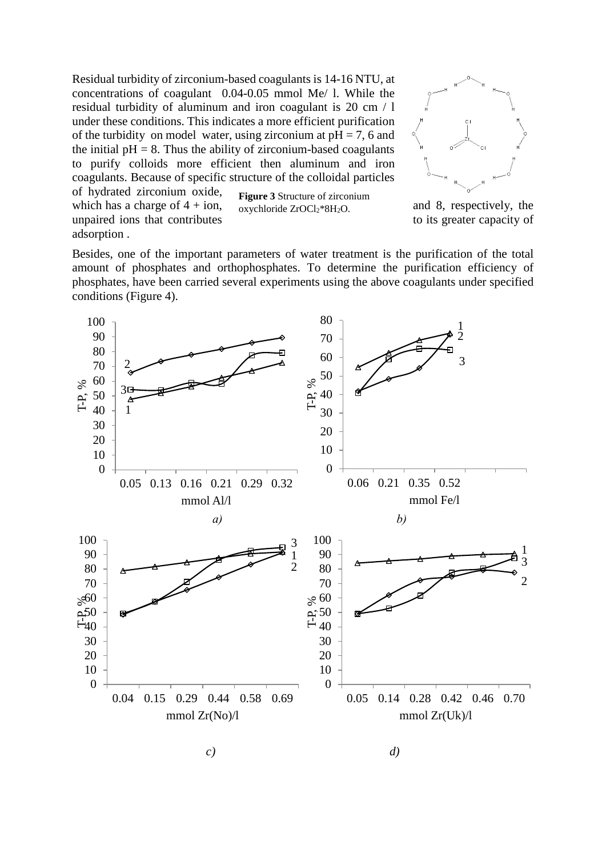Residual turbidity of zirconium-based coagulants is 14-16 NTU, at concentrations of coagulant 0.04-0.05 mmol Me/ l. While the residual turbidity of aluminum and iron coagulant is 20 cm / l under these conditions. This indicates a more efficient purification of the turbidity on model water, using zirconium at  $pH = 7$ , 6 and the initial  $pH = 8$ . Thus the ability of zirconium-based coagulants to purify colloids more efficient then aluminum and iron coagulants. Because of specific structure of the colloidal particles of hydrated zirconium oxide, which has a charge of  $4 + i$ on, and  $8$ , respectively, the **Figure 3** Structure of zirconium

unpaired ions that contributes to its greater capacity of adsorption .

oxychloride ZrOCl<sub>2</sub>\*8H<sub>2</sub>O.



Besides, one of the important parameters of water treatment is the purification of the total amount of phosphates and orthophosphates. To determine the purification efficiency of phosphates, have been carried several experiments using the above coagulants under specified conditions (Figure 4).





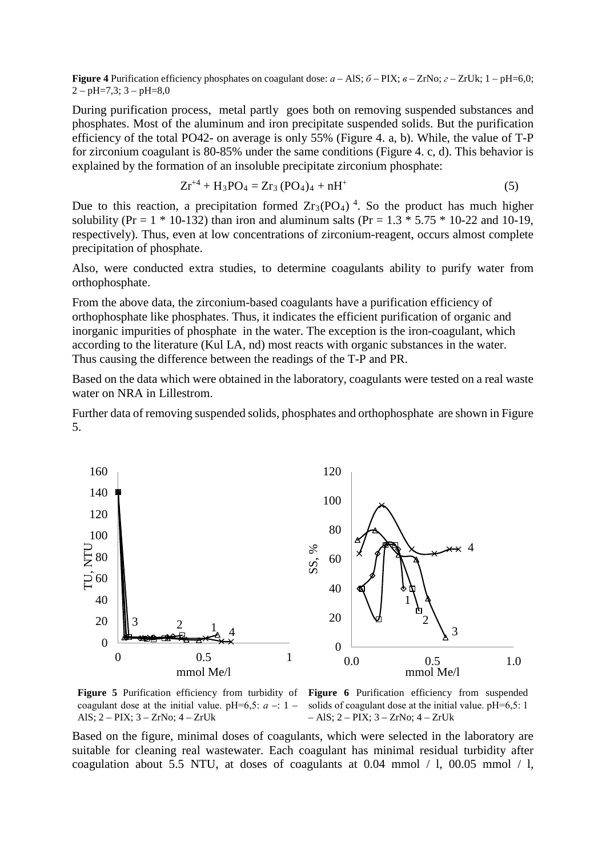**Figure 4** Purification efficiency phosphates on coagulant dose: *а* – AlS; *б* – PIX; *в* – ZrNo; *г* – ZrUk; 1 – pH=6,0;  $2 - pH = 7,3$ ;  $3 - pH = 8,0$ 

During purification process, metal partly goes both on removing suspended substances and phosphates. Most of the aluminum and iron precipitate suspended solids. But the purification efficiency of the total PO42- on average is only 55% (Figure 4. a, b). While, the value of T-P for zirconium coagulant is 80-85% under the same conditions (Figure 4. c, d). This behavior is explained by the formation of an insoluble precipitate zirconium phosphate:

$$
Zr^{+4} + H_3PO_4 = Zr_3 (PO_4)_4 + nH^+ \tag{5}
$$

Due to this reaction, a precipitation formed  $Zr_3(PO_4)$ <sup>4</sup>. So the product has much higher solubility (Pr =  $1 * 10-132$ ) than iron and aluminum salts (Pr =  $1.3 * 5.75 * 10-22$  and 10-19, respectively). Thus, even at low concentrations of zirconium-reagent, occurs almost complete precipitation of phosphate.

Also, were conducted extra studies, to determine coagulants ability to purify water from orthophosphate.

From the above data, the zirconium-based coagulants have a purification efficiency of orthophosphate like phosphates. Thus, it indicates the efficient purification of organic and inorganic impurities of phosphate in the water. The exception is the iron-coagulant, which according to the literature (Kul LA, nd) most reacts with organic substances in the water. Thus causing the difference between the readings of the T-P and PR.

Based on the data which were obtained in the laboratory, coagulants were tested on a real waste water on NRA in Lillestrom.

Further data of removing suspended solids, phosphates and orthophosphate are shown in Figure 5.



**Figure 5** Purification efficiency from turbidity of **Figure 6** Purification efficiency from suspended coagulant dose at the initial value. pH=6,5:  $a - 1 -$ AlS; 2 – PIX; 3 – ZrNo; 4 – ZrUk

solids of coagulant dose at the initial value. pH=6,5: 1 – AlS; 2 – PIX; 3 – ZrNo; 4 – ZrUk

Based on the figure, minimal doses of coagulants, which were selected in the laboratory are suitable for cleaning real wastewater. Each coagulant has minimal residual turbidity after coagulation about 5.5 NTU, at doses of coagulants at 0.04 mmol  $/ 1$ , 00.05 mmol  $/ 1$ ,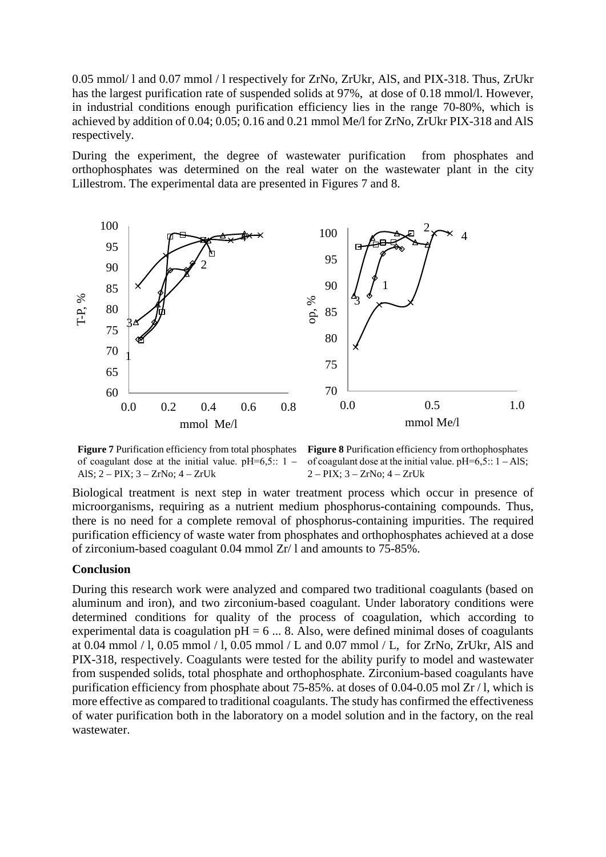0.05 mmol/ l and 0.07 mmol / l respectively for ZrNo, ZrUkr, AlS, and PIX-318. Thus, ZrUkr has the largest purification rate of suspended solids at 97%, at dose of 0.18 mmol/l. However, in industrial conditions enough purification efficiency lies in the range 70-80%, which is achieved by addition of 0.04; 0.05; 0.16 and 0.21 mmol Me/l for ZrNo, ZrUkr PIX-318 and AlS respectively.

During the experiment, the degree of wastewater purification from phosphates and orthophosphates was determined on the real water on the wastewater plant in the city Lillestrom. The experimental data are presented in Figures 7 and 8.



**Figure 7** Purification efficiency from total phosphates of coagulant dose at the initial value.  $pH=6,5:: 1$  – AlS; 2 – PIX; 3 – ZrNo; 4 – ZrUk

**Figure 8** Purification efficiency from orthophosphates of coagulant dose at the initial value.  $pH=6,5:: 1 - AIS;$ 2 – PIX; 3 – ZrNo; 4 – ZrUk

Biological treatment is next step in water treatment process which occur in presence of microorganisms, requiring as a nutrient medium phosphorus-containing compounds. Thus, there is no need for a complete removal of phosphorus-containing impurities. The required purification efficiency of waste water from phosphates and orthophosphates achieved at a dose of zirconium-based coagulant 0.04 mmol Zr/ l and amounts to 75-85%.

#### **Conclusion**

During this research work were analyzed and compared two traditional coagulants (based on aluminum and iron), and two zirconium-based coagulant. Under laboratory conditions were determined conditions for quality of the process of coagulation, which according to experimental data is coagulation  $pH = 6$  ... 8. Also, were defined minimal doses of coagulants at 0.04 mmol / l, 0.05 mmol / l, 0.05 mmol / L and 0.07 mmol / L, for ZrNo, ZrUkr, AlS and PIX-318, respectively. Coagulants were tested for the ability purify to model and wastewater from suspended solids, total phosphate and orthophosphate. Zirconium-based coagulants have purification efficiency from phosphate about 75-85%. at doses of 0.04-0.05 mol Zr / l, which is more effective as compared to traditional coagulants. The study has confirmed the effectiveness of water purification both in the laboratory on a model solution and in the factory, on the real wastewater.